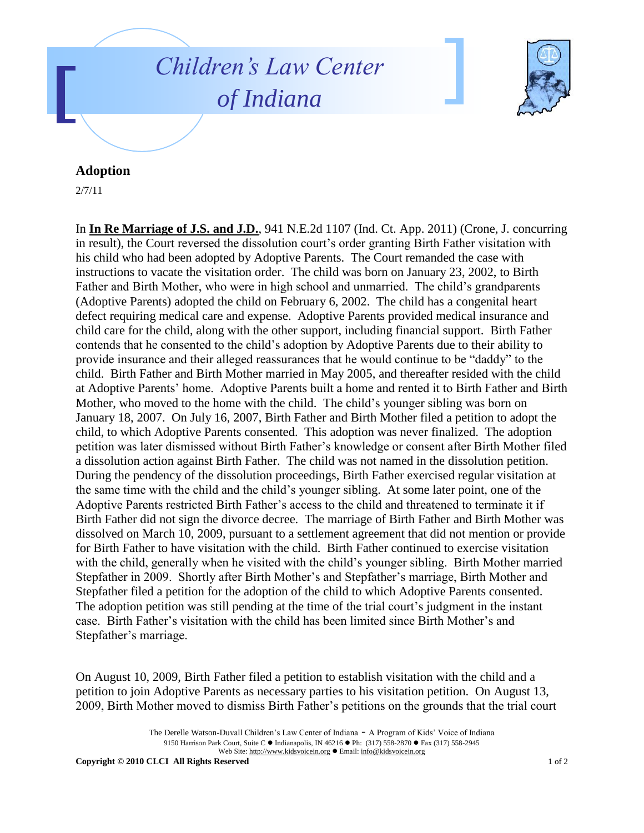## *Children's Law Center of Indiana*



## **Adoption**

2/7/11

In **In Re Marriage of J.S. and J.D.**, 941 N.E.2d 1107 (Ind. Ct. App. 2011) (Crone, J. concurring in result), the Court reversed the dissolution court's order granting Birth Father visitation with his child who had been adopted by Adoptive Parents. The Court remanded the case with instructions to vacate the visitation order. The child was born on January 23, 2002, to Birth Father and Birth Mother, who were in high school and unmarried. The child's grandparents (Adoptive Parents) adopted the child on February 6, 2002. The child has a congenital heart defect requiring medical care and expense. Adoptive Parents provided medical insurance and child care for the child, along with the other support, including financial support. Birth Father contends that he consented to the child's adoption by Adoptive Parents due to their ability to provide insurance and their alleged reassurances that he would continue to be "daddy" to the child. Birth Father and Birth Mother married in May 2005, and thereafter resided with the child at Adoptive Parents' home. Adoptive Parents built a home and rented it to Birth Father and Birth Mother, who moved to the home with the child. The child's younger sibling was born on January 18, 2007. On July 16, 2007, Birth Father and Birth Mother filed a petition to adopt the child, to which Adoptive Parents consented. This adoption was never finalized. The adoption petition was later dismissed without Birth Father's knowledge or consent after Birth Mother filed a dissolution action against Birth Father. The child was not named in the dissolution petition. During the pendency of the dissolution proceedings, Birth Father exercised regular visitation at the same time with the child and the child's younger sibling. At some later point, one of the Adoptive Parents restricted Birth Father's access to the child and threatened to terminate it if Birth Father did not sign the divorce decree. The marriage of Birth Father and Birth Mother was dissolved on March 10, 2009, pursuant to a settlement agreement that did not mention or provide for Birth Father to have visitation with the child. Birth Father continued to exercise visitation with the child, generally when he visited with the child's younger sibling. Birth Mother married Stepfather in 2009. Shortly after Birth Mother's and Stepfather's marriage, Birth Mother and Stepfather filed a petition for the adoption of the child to which Adoptive Parents consented. The adoption petition was still pending at the time of the trial court's judgment in the instant case. Birth Father's visitation with the child has been limited since Birth Mother's and Stepfather's marriage.

On August 10, 2009, Birth Father filed a petition to establish visitation with the child and a petition to join Adoptive Parents as necessary parties to his visitation petition. On August 13, 2009, Birth Mother moved to dismiss Birth Father's petitions on the grounds that the trial court

**Copyright © 2010 CLCI All Rights Reserved** 1 of 2

The Derelle Watson-Duvall Children's Law Center of Indiana - A Program of Kids' Voice of Indiana 9150 Harrison Park Court, Suite C · Indianapolis, IN 46216 · Ph: (317) 558-2870 · Fax (317) 558-2945 Web Site: http://www.kidsvoicein.org · Email: info@kidsvoicein.org